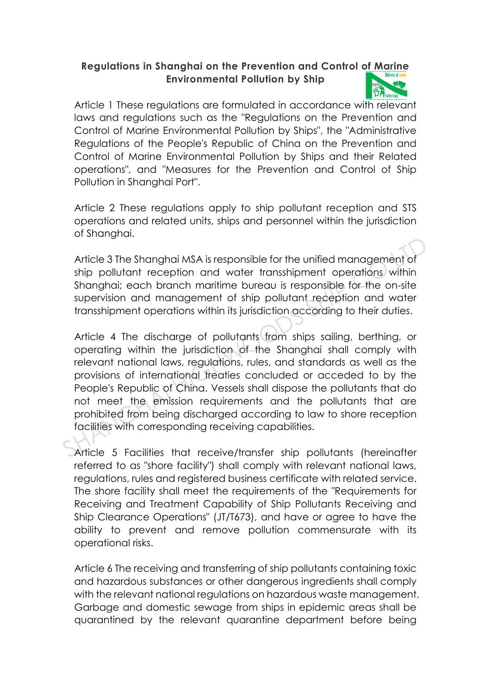## **Regulations in Shanghai on the Prevention and Control of Marine Environmental Pollution by Ship**



Article 1 These regulations are formulated in accordance with relevant laws and regulations such as the "Regulations on the Prevention and Control of Marine Environmental Pollution by Ships", the "Administrative Regulations of the People's Republic of China on the Prevention and Control of Marine Environmental Pollution by Ships and their Related operations", and "Measures for the Prevention and Control of Ship Pollution in Shanghai Port".

Article 2 These regulations apply to ship pollutant reception and STS operations and related units, ships and personnel within the jurisdiction of Shanghai.

Article 3 The Shanghai MSA is responsible for the unified management of ship pollutant reception and water transshipment operations within Shanghai; each branch maritime bureau is responsible for the on-site supervision and management of ship pollutant reception and water transshipment operations within its jurisdiction according to their duties.

Article 4 The discharge of pollutants from ships sailing, berthing, or operating within the jurisdiction of the Shanghai shall comply with relevant national laws, regulations, rules, and standards as well as the provisions of international treaties concluded or acceded to by the People's Republic of China. Vessels shall dispose the pollutants that do not meet the emission requirements and the pollutants that are prohibited from being discharged according to law to shore reception facilities with corresponding receiving capabilities. Article 3 The Shanghai MSA is responsible for the unified management of<br>ship pollutant reception and water transshipment operations within<br>Shanghai; each branch maritime bureau is responsible for the on-site<br>supervision an

Article 5 Facilities that receive/transfer ship pollutants (hereinafter referred to as "shore facility") shall comply with relevant national laws, regulations, rules and registered business certificate with related service. The shore facility shall meet the requirements of the "Requirements for Receiving and Treatment Capability of Ship Pollutants Receiving and Ship Clearance Operations" (JT/T673), and have or agree to have the ability to prevent and remove pollution commensurate with its operational risks.

Article 6 The receiving and transferring of ship pollutants containing toxic and hazardous substances or other dangerous ingredients shall comply with the relevant national regulations on hazardous waste management. Garbage and domestic sewage from ships in epidemic areas shall be quarantined by the relevant quarantine department before being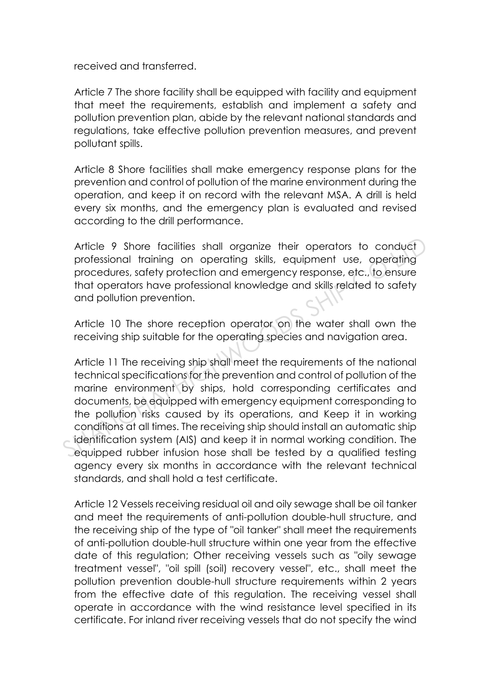received and transferred.

Article 7 The shore facility shall be equipped with facility and equipment that meet the requirements, establish and implement a safety and pollution prevention plan, abide by the relevant national standards and regulations, take effective pollution prevention measures, and prevent pollutant spills.

Article 8 Shore facilities shall make emergency response plans for the prevention and control of pollution of the marine environment during the operation, and keep it on record with the relevant MSA. A drill is held every six months, and the emergency plan is evaluated and revised according to the drill performance.

Article 9 Shore facilities shall organize their operators to conduct professional training on operating skills, equipment use, operating procedures, safety protection and emergency response, etc., to ensure that operators have professional knowledge and skills related to safety and pollution prevention.

Article 10 The shore reception operator on the water shall own the receiving ship suitable for the operating species and navigation area.

Article 11 The receiving ship shall meet the requirements of the national technical specifications for the prevention and control of pollution of the marine environment by ships, hold corresponding certificates and documents, be equipped with emergency equipment corresponding to the pollution risks caused by its operations, and Keep it in working conditions at all times. The receiving ship should install an automatic ship identification system (AIS) and keep it in normal working condition. The equipped rubber infusion hose shall be tested by a qualified testing agency every six months in accordance with the relevant technical standards, and shall hold a test certificate. Article 9 Shore facilities shall organize their operators to conduct<br>professional training on operating skills, equipment use, operating<br>procedures, safety protection and emergency response, etc., to ensure<br>that operators

Article 12 Vessels receiving residual oil and oily sewage shall be oil tanker and meet the requirements of anti-pollution double-hull structure, and the receiving ship of the type of "oil tanker" shall meet the requirements of anti-pollution double-hull structure within one year from the effective date of this regulation; Other receiving vessels such as "oily sewage treatment vessel", "oil spill (soil) recovery vessel", etc., shall meet the pollution prevention double-hull structure requirements within 2 years from the effective date of this regulation. The receiving vessel shall operate in accordance with the wind resistance level specified in its certificate. For inland river receiving vessels that do not specify the wind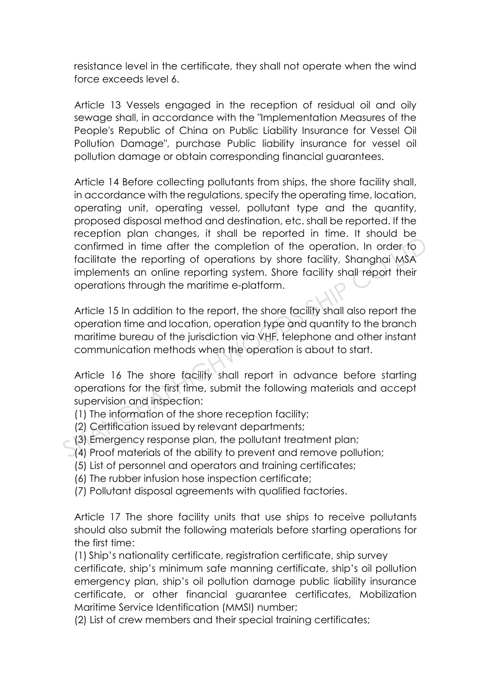resistance level in the certificate, they shall not operate when the wind force exceeds level 6.

Article 13 Vessels engaged in the reception of residual oil and oily sewage shall, in accordance with the "Implementation Measures of the People's Republic of China on Public Liability Insurance for Vessel Oil Pollution Damage", purchase Public liability insurance for vessel oil pollution damage or obtain corresponding financial guarantees.

Article 14 Before collecting pollutants from ships, the shore facility shall, in accordance with the regulations, specify the operating time, location, operating unit, operating vessel, pollutant type and the quantity, proposed disposal method and destination, etc. shall be reported. If the reception plan changes, it shall be reported in time. It should be confirmed in time after the completion of the operation. In order to facilitate the reporting of operations by shore facility, Shanghai MSA implements an online reporting system. Shore facility shall report their operations through the maritime e-platform. confirmed in time after the completion of the operation. In order to<br>facilitate the reporting of operations by shore facility, Shanghai MSA<br>implements an online reporting system. Shore facility shall-report their<br>operation

Article 15 In addition to the report, the shore facility shall also report the operation time and location, operation type and quantity to the branch maritime bureau of the jurisdiction via VHF, telephone and other instant communication methods when the operation is about to start.

Article 16 The shore facility shall report in advance before starting operations for the first time, submit the following materials and accept supervision and inspection:

- (1) The information of the shore reception facility;
- (2) Certification issued by relevant departments;
- (3) Emergency response plan, the pollutant treatment plan;
	- (4) Proof materials of the ability to prevent and remove pollution;
		- (5) List of personnel and operators and training certificates;
		- (6) The rubber infusion hose inspection certificate;
		- (7) Pollutant disposal agreements with qualified factories.

Article 17 The shore facility units that use ships to receive pollutants should also submit the following materials before starting operations for the first time:

(1) Ship's nationality certificate, registration certificate, ship survey certificate, ship's minimum safe manning certificate, ship's oil pollution emergency plan, ship's oil pollution damage public liability insurance certificate, or other financial guarantee certificates, Mobilization Maritime Service Identification (MMSI) number;

(2) List of crew members and their special training certificates;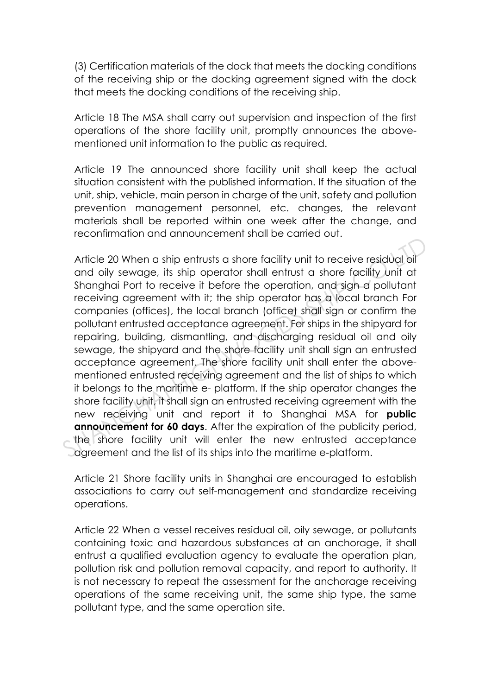(3) Certification materials of the dock that meets the docking conditions of the receiving ship or the docking agreement signed with the dock that meets the docking conditions of the receiving ship.

Article 18 The MSA shall carry out supervision and inspection of the first operations of the shore facility unit, promptly announces the abovementioned unit information to the public as required.

Article 19 The announced shore facility unit shall keep the actual situation consistent with the published information. If the situation of the unit, ship, vehicle, main person in charge of the unit, safety and pollution prevention management personnel, etc. changes, the relevant materials shall be reported within one week after the change, and reconfirmation and announcement shall be carried out.

Article 20 When a ship entrusts a shore facility unit to receive residual oil and oily sewage, its ship operator shall entrust a shore facility unit at Shanghai Port to receive it before the operation, and sign a pollutant receiving agreement with it; the ship operator has a local branch For companies (offices), the local branch (office) shall sign or confirm the pollutant entrusted acceptance agreement. For ships in the shipyard for repairing, building, dismantling, and discharging residual oil and oily sewage, the shipyard and the shore facility unit shall sign an entrusted acceptance agreement. The shore facility unit shall enter the abovementioned entrusted receiving agreement and the list of ships to which it belongs to the maritime e- platform. If the ship operator changes the shore facility unit, it shall sign an entrusted receiving agreement with the new receiving unit and report it to Shanghai MSA for **public announcement for 60 days**. After the expiration of the publicity period, the shore facility unit will enter the new entrusted acceptance agreement and the list of its ships into the maritime e-platform. Article 20 When a ship entrusts a shore facility unit to receive residual oil<br>and oily sewage, its ship operator shall entrust a shore facility unit at<br>Shanghai Port to receive it before the operation, and sign a pollutant

Article 21 Shore facility units in Shanghai are encouraged to establish associations to carry out self-management and standardize receiving operations.

Article 22 When a vessel receives residual oil, oily sewage, or pollutants containing toxic and hazardous substances at an anchorage, it shall entrust a qualified evaluation agency to evaluate the operation plan, pollution risk and pollution removal capacity, and report to authority. It is not necessary to repeat the assessment for the anchorage receiving operations of the same receiving unit, the same ship type, the same pollutant type, and the same operation site.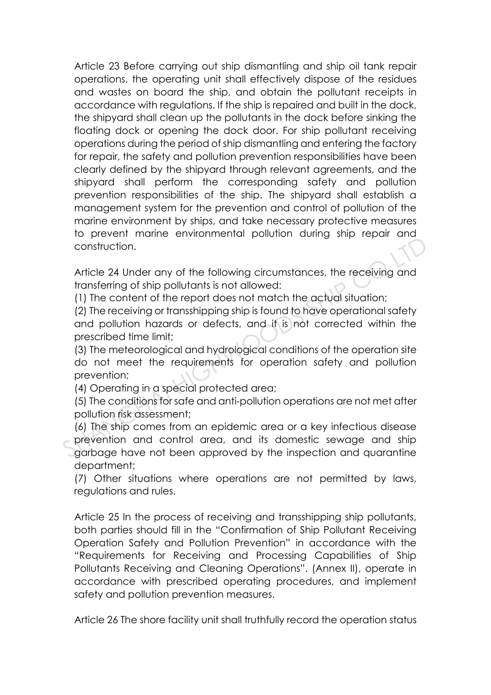Article 23 Before carrying out ship dismantling and ship oil tank repair operations, the operating unit shall effectively dispose of the residues and wastes on board the ship, and obtain the pollutant receipts in accordance with regulations. If the ship is repaired and built in the dock, the shipyard shall clean up the pollutants in the dock before sinking the floating dock or opening the dock door. For ship pollutant receiving operations during the period of ship dismantling and entering the factory for repair, the safety and pollution prevention responsibilities have been clearly defined by the shipyard through relevant agreements, and the shipyard shall perform the corresponding safety and pollution prevention responsibilities of the ship. The shipyard shall establish a management system for the prevention and control of pollution of the marine environment by ships, and take necessary protective measures to prevent marine environmental pollution during ship repair and construction.

Article 24 Under any of the following circumstances, the receiving and transferring of ship pollutants is not allowed:

(1) The content of the report does not match the actual situation;

(2) The receiving or transshipping ship is found to have operational safety and pollution hazards or defects, and it is not corrected within the prescribed time limit;

(3) The meteorological and hydrological conditions of the operation site do not meet the requirements for operation safety and pollution prevention;

(4) Operating in a special protected area;

(5) The conditions for safe and anti-pollution operations are not met after pollution risk assessment;

(6) The ship comes from an epidemic area or a key infectious disease prevention and control area, and its domestic sewage and ship garbage have not been approved by the inspection and quarantine department; For the state of the following circumstances, the receiving only to construction.<br>
Article 24 Under any of the following circumstances, the receiving and<br>
transferring of ship pollutants is not allowed:<br>
(1) The content of

(7) Other situations where operations are not permitted by laws, regulations and rules.

Article 25 In the process of receiving and transshipping ship pollutants, both parties should fill in the "Confirmation of Ship Pollutant Receiving Operation Safety and Pollution Prevention" in accordance with the "Requirements for Receiving and Processing Capabilities of Ship Pollutants Receiving and Cleaning Operations". (Annex II), operate in accordance with prescribed operating procedures, and implement safety and pollution prevention measures.

Article 26 The shore facility unit shall truthfully record the operation status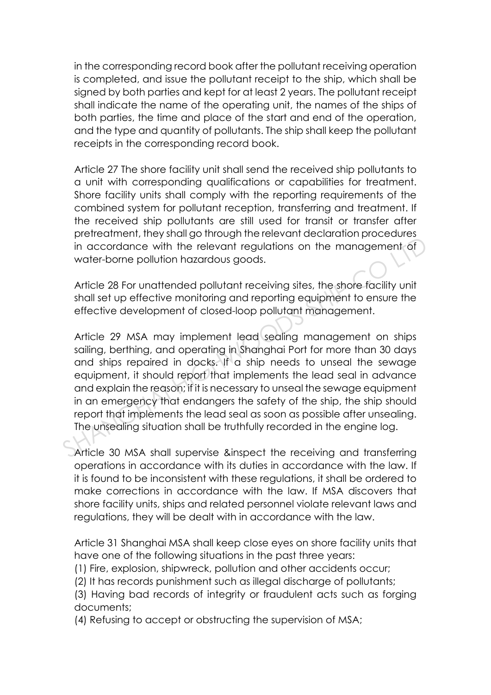in the corresponding record book after the pollutant receiving operation is completed, and issue the pollutant receipt to the ship, which shall be signed by both parties and kept for at least 2 years. The pollutant receipt shall indicate the name of the operating unit, the names of the ships of both parties, the time and place of the start and end of the operation, and the type and quantity of pollutants. The ship shall keep the pollutant receipts in the corresponding record book.

Article 27 The shore facility unit shall send the received ship pollutants to a unit with corresponding qualifications or capabilities for treatment. Shore facility units shall comply with the reporting requirements of the combined system for pollutant reception, transferring and treatment. If the received ship pollutants are still used for transit or transfer after pretreatment, they shall go through the relevant declaration procedures in accordance with the relevant regulations on the management of water-borne pollution hazardous goods.

Article 28 For unattended pollutant receiving sites, the shore facility unit shall set up effective monitoring and reporting equipment to ensure the effective development of closed-loop pollutant management.

Article 29 MSA may implement lead sealing management on ships sailing, berthing, and operating in Shanghai Port for more than 30 days and ships repaired in docks. If a ship needs to unseal the sewage equipment, it should report that implements the lead seal in advance and explain the reason; if it is necessary to unseal the sewage equipment in an emergency that endangers the safety of the ship, the ship should report that implements the lead seal as soon as possible after unsealing. The unsealing situation shall be truthfully recorded in the engine log. in accordance with the relevant regulations on the management of<br>water-borne pollution hazardous goods.<br>Article 28 For unattended pollutant receiving sites, the shore facility unit<br>shall set up effective monitoring and rep

Article 30 MSA shall supervise &inspect the receiving and transferring operations in accordance with its duties in accordance with the law. If it is found to be inconsistent with these regulations, it shall be ordered to make corrections in accordance with the law. If MSA discovers that shore facility units, ships and related personnel violate relevant laws and regulations, they will be dealt with in accordance with the law.

Article 31 Shanghai MSA shall keep close eyes on shore facility units that have one of the following situations in the past three years:

(1) Fire, explosion, shipwreck, pollution and other accidents occur;

(2) It has records punishment such as illegal discharge of pollutants;

(3) Having bad records of integrity or fraudulent acts such as forging documents;

(4) Refusing to accept or obstructing the supervision of MSA;